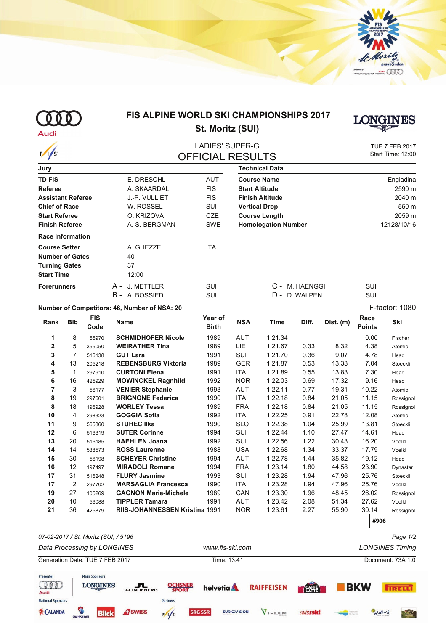

|                          |                |                 | <b>FIS ALPINE WORLD SKI CHAMPIONSHIPS 2017</b><br>St. Moritz (SUI) |                         |                            |                       |                |                | LONGINES       |                                            |  |
|--------------------------|----------------|-----------------|--------------------------------------------------------------------|-------------------------|----------------------------|-----------------------|----------------|----------------|----------------|--------------------------------------------|--|
| Audi                     |                |                 |                                                                    |                         |                            |                       |                |                |                |                                            |  |
|                          |                |                 | <b>LADIES' SUPER-G</b>                                             |                         |                            |                       |                |                |                | <b>TUE 7 FEB 2017</b><br>Start Time: 12:00 |  |
| 1/s                      |                |                 |                                                                    | <b>OFFICIAL RESULTS</b> |                            |                       |                |                |                |                                            |  |
| Jury                     |                |                 |                                                                    |                         |                            | <b>Technical Data</b> |                |                |                |                                            |  |
| <b>TD FIS</b>            |                |                 | E. DRESCHL                                                         | <b>AUT</b>              |                            | <b>Course Name</b>    |                |                |                | Engiadina                                  |  |
| <b>Referee</b>           |                |                 | A. SKAARDAL                                                        | <b>FIS</b>              | <b>Start Altitude</b>      |                       |                |                | 2590 m         |                                            |  |
| <b>Assistant Referee</b> |                |                 | J.-P. VULLIET                                                      | <b>FIS</b>              | <b>Finish Altitude</b>     |                       |                |                | 2040 m         |                                            |  |
| <b>Chief of Race</b>     |                |                 | W. ROSSEL                                                          | SUI                     |                            | <b>Vertical Drop</b>  |                |                |                | 550 m                                      |  |
| <b>Start Referee</b>     |                |                 | O. KRIZOVA                                                         | <b>CZE</b>              | <b>Course Length</b>       |                       |                |                | 2059 m         |                                            |  |
| <b>Finish Referee</b>    |                |                 | A. S.-BERGMAN                                                      | <b>SWE</b>              | <b>Homologation Number</b> |                       |                |                | 12128/10/16    |                                            |  |
| <b>Race Information</b>  |                |                 |                                                                    |                         |                            |                       |                |                |                |                                            |  |
| <b>Course Setter</b>     |                |                 | A. GHEZZE                                                          | <b>ITA</b>              |                            |                       |                |                |                |                                            |  |
| <b>Number of Gates</b>   |                |                 | 40                                                                 |                         |                            |                       |                |                |                |                                            |  |
| <b>Turning Gates</b>     |                |                 | 37                                                                 |                         |                            |                       |                |                |                |                                            |  |
| <b>Start Time</b>        |                |                 | 12:00                                                              |                         |                            |                       |                |                |                |                                            |  |
|                          |                |                 |                                                                    |                         |                            |                       |                |                |                |                                            |  |
| <b>Forerunners</b>       |                |                 | A - J. METTLER                                                     | SUI                     |                            |                       | C - M. HAENGGI |                | SUI            |                                            |  |
|                          |                |                 | B - A. BOSSIED                                                     | SUI                     |                            |                       | D - D. WALPEN  |                | SUI            |                                            |  |
|                          |                |                 | Number of Competitors: 46, Number of NSA: 20                       |                         |                            |                       |                |                |                | F-factor: 1080                             |  |
| Rank                     | <b>Bib</b>     | <b>FIS</b>      | <b>Name</b>                                                        | Year of                 | <b>NSA</b>                 | <b>Time</b>           | Diff.          | Dist. (m)      | Race           | Ski                                        |  |
|                          |                | Code            |                                                                    | <b>Birth</b>            |                            |                       |                |                | <b>Points</b>  |                                            |  |
| 1                        | 8              | 55970           | <b>SCHMIDHOFER Nicole</b>                                          | 1989                    | <b>AUT</b>                 | 1:21.34               |                |                | 0.00           | Fischer                                    |  |
| $\overline{2}$           | 5              | 355050          | <b>WEIRATHER Tina</b>                                              | 1989                    | LIE                        | 1:21.67               | 0.33           | 8.32           | 4.38           | Atomic                                     |  |
| 3                        | $\overline{7}$ | 516138          | <b>GUT Lara</b>                                                    | 1991                    | SUI                        | 1:21.70               | 0.36           | 9.07           | 4.78           | Head                                       |  |
| 4                        | 13             | 205218          | <b>REBENSBURG Viktoria</b>                                         | 1989                    | <b>GER</b>                 | 1:21.87               | 0.53           | 13.33          | 7.04           | Stoeckli                                   |  |
| 5                        | 1              | 297910          | <b>CURTONI Elena</b>                                               | 1991                    | <b>ITA</b>                 | 1:21.89               | 0.55           | 13.83          | 7.30           | Head                                       |  |
| 6                        | 16             | 425929          | <b>MOWINCKEL Ragnhild</b>                                          | 1992                    | <b>NOR</b>                 | 1:22.03               | 0.69           | 17.32          | 9.16           | Head                                       |  |
| 7                        | 3              | 56177           | <b>VENIER Stephanie</b>                                            | 1993                    | <b>AUT</b>                 | 1:22.11               | 0.77           | 19.31          | 10.22          | Atomic                                     |  |
| 8                        | 19             | 297601          | <b>BRIGNONE Federica</b>                                           | 1990                    | <b>ITA</b>                 | 1:22.18               | 0.84           | 21.05          | 11.15          | Rossignol                                  |  |
| 8                        | 18             | 196928          | <b>WORLEY Tessa</b>                                                | 1989                    | <b>FRA</b>                 | 1:22.18               | 0.84           | 21.05          | 11.15          | Rossignol                                  |  |
| 10                       | 4              | 298323          | <b>GOGGIA Sofia</b>                                                | 1992                    | <b>ITA</b>                 | 1:22.25               | 0.91           | 22.78          | 12.08          | Atomic                                     |  |
| 11                       | 9              | 565360          | <b>STUHEC IIka</b>                                                 | 1990                    | <b>SLO</b>                 | 1:22.38               | 1.04           | 25.99          | 13.81          | Stoeckli                                   |  |
| 12<br>13                 | 6<br>20        | 516319          | <b>SUTER Corinne</b>                                               | 1994                    | SUI                        | 1:22.44               | 1.10           | 27.47          | 14.61          | Head                                       |  |
|                          |                | 516185          | <b>HAEHLEN Joana</b>                                               | 1992                    | SUI                        | 1:22.56               | 1.22           | 30.43          | 16.20          | Voelkl                                     |  |
| 14                       | 14             | 538573          | <b>ROSS Laurenne</b>                                               | 1988                    | <b>USA</b>                 | 1:22.68               | 1.34           | 33.37          | 17.79          | Voelkl                                     |  |
| 15<br>16                 | 30<br>12       | 56198           | <b>SCHEYER Christine</b><br><b>MIRADOLI Romane</b>                 | 1994<br>1994            | AUT<br><b>FRA</b>          | 1:22.78<br>1:23.14    | 1.44<br>1.80   | 35.82<br>44.58 | 19.12<br>23.90 | Head                                       |  |
|                          |                | 197497          | <b>FLURY Jasmine</b>                                               |                         | SUI                        |                       |                |                |                | Dynastar                                   |  |
| 17<br>17                 | 31<br>2        | 516248          | <b>MARSAGLIA Francesca</b>                                         | 1993<br>1990            | <b>ITA</b>                 | 1:23.28<br>1:23.28    | 1.94<br>1.94   | 47.96<br>47.96 | 25.76<br>25.76 | Stoeckli                                   |  |
| 19                       | 27             | 297702          | <b>GAGNON Marie-Michele</b>                                        | 1989                    | CAN                        | 1:23.30               | 1.96           | 48.45          | 26.02          | Voelkl<br>Rossignol                        |  |
| 20                       | 10             | 105269<br>56088 | <b>TIPPLER Tamara</b>                                              | 1991                    | <b>AUT</b>                 | 1:23.42               | 2.08           | 51.34          | 27.62          | Voelkl                                     |  |
| 21                       | 36             | 425879          | RIIS-JOHANNESSEN Kristina 1991                                     |                         | <b>NOR</b>                 | 1:23.61               | 2.27           | 55.90          | 30.14          | Rossignol                                  |  |
|                          |                |                 |                                                                    |                         |                            |                       |                |                |                |                                            |  |
|                          |                |                 |                                                                    |                         |                            |                       |                |                | #906           |                                            |  |
|                          |                |                 |                                                                    |                         |                            |                       |                |                |                |                                            |  |

*07-02-2017 / St. Moritz (SUI) / 5196 Page 1/2 Data Processing by LONGINES www.fis-ski.com LONGINES Timing* Generation Date: TUE 7 FEB 2017 Time: 13:41 Document: 73A 1.0 Presenter **Main Sponsors**  $\text{ODE}$ **LONGINES** J.LINDEBERG **OCHSNER**<br>SPORT **RAIFFEISEN** EAFE  $\blacksquare$ BKW helvetia **TRELL! National Sponsors** Partners **EXCALANDA A** swiss  $\frac{1}{5}$ **EURIOVISION** VTRIDEM **SRG SSR** swissski **Blick**